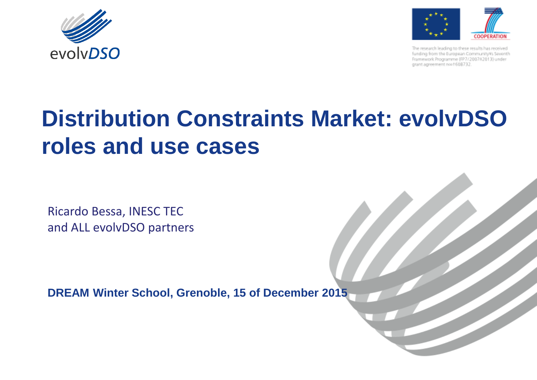



The research leading to these results has received funding from the European CommunityVs Seventh Framework Programme (FP7/200762013) under grant agreement noo +608732.

# **Distribution Constraints Market: evolvDSO roles and use cases**

Ricardo Bessa, INESC TEC and ALL evolvDSO partners

**DREAM Winter School, Grenoble, 15 of December 2015**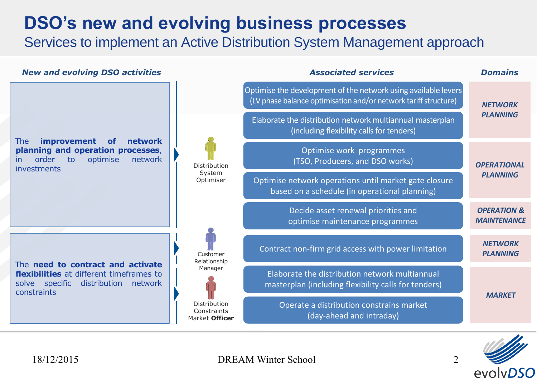### **DSO's new and evolving business processes**

Services to implement an Active Distribution System Management approach





DREAM Winter School 2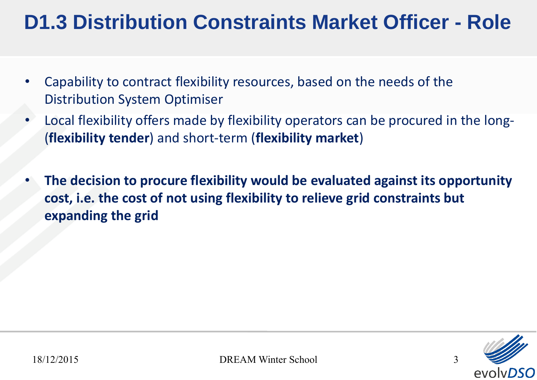## **D1.3 Distribution Constraints Market Officer - Role**

- Capability to contract flexibility resources, based on the needs of the Distribution System Optimiser
- Local flexibility offers made by flexibility operators can be procured in the long- (**flexibility tender**) and short-term (**flexibility market**)
- **The decision to procure flexibility would be evaluated against its opportunity cost, i.e. the cost of not using flexibility to relieve grid constraints but expanding the grid**

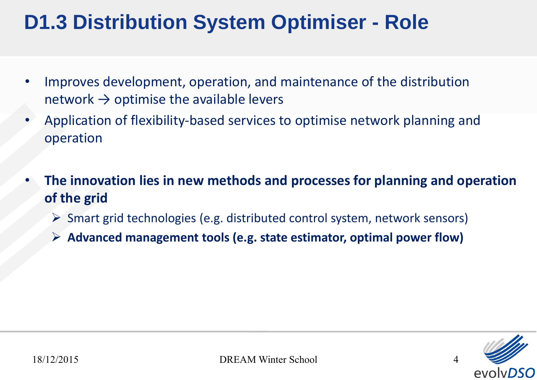## **D1.3 Distribution System Optimiser - Role**

- Improves development, operation, and maintenance of the distribution network  $\rightarrow$  optimise the available levers
- Application of flexibility-based services to optimise network planning and operation
- **The innovation lies in new methods and processes for planning and operation of the grid**
	- $\triangleright$  Smart grid technologies (e.g. distributed control system, network sensors)
	- **Advanced management tools (e.g. state estimator, optimal power flow)**

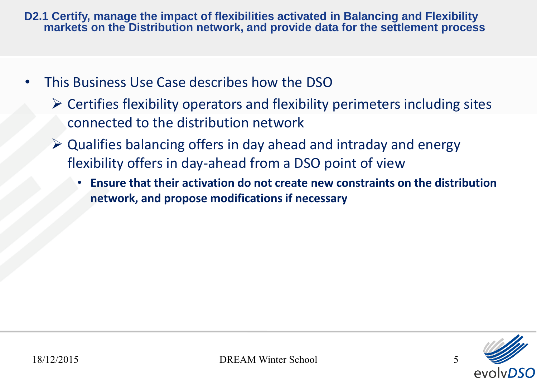**D2.1 Certify, manage the impact of flexibilities activated in Balancing and Flexibility markets on the Distribution network, and provide data for the settlement process**

- This Business Use Case describes how the DSO
	- $\triangleright$  Certifies flexibility operators and flexibility perimeters including sites connected to the distribution network
	- $\triangleright$  Qualifies balancing offers in day ahead and intraday and energy flexibility offers in day-ahead from a DSO point of view
		- **Ensure that their activation do not create new constraints on the distribution network, and propose modifications if necessary**

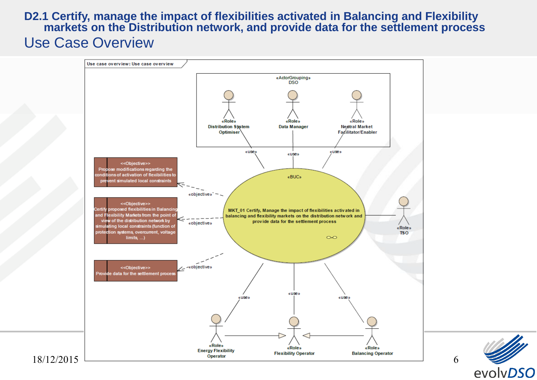#### **D2.1 Certify, manage the impact of flexibilities activated in Balancing and Flexibility markets on the Distribution network, and provide data for the settlement process** Use Case Overview



evolvDSO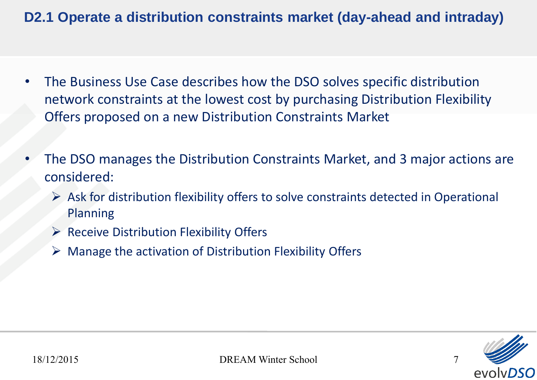#### **D2.1 Operate a distribution constraints market (day-ahead and intraday)**

- The Business Use Case describes how the DSO solves specific distribution network constraints at the lowest cost by purchasing Distribution Flexibility Offers proposed on a new Distribution Constraints Market
- The DSO manages the Distribution Constraints Market, and 3 major actions are considered:
	- $\triangleright$  Ask for distribution flexibility offers to solve constraints detected in Operational Planning
	- $\triangleright$  Receive Distribution Flexibility Offers
	- $\triangleright$  Manage the activation of Distribution Flexibility Offers

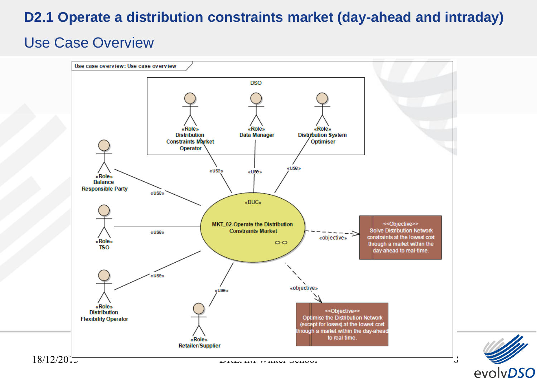#### **D2.1 Operate a distribution constraints market (day-ahead and intraday)**

#### Use Case Overview



evolvDSO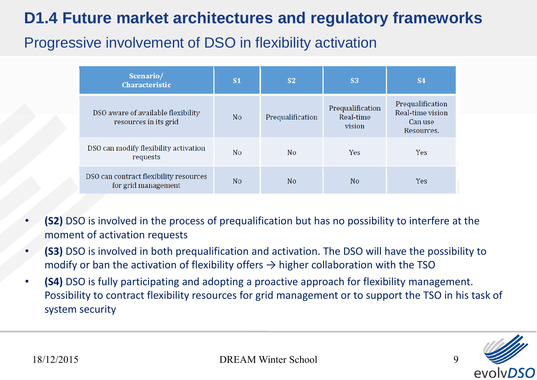### **D1.4 Future market architectures and regulatory frameworks**

### Progressive involvement of DSO in flexibility activation

| Scenario/<br><b>Characteristic</b>                            | <b>S1</b>      | <b>S2</b>        | <b>S3</b>                               | <b>S4</b>                                                     |
|---------------------------------------------------------------|----------------|------------------|-----------------------------------------|---------------------------------------------------------------|
| DSO aware of available flexibility<br>resources in its grid   | N <sub>o</sub> | Prequalification | Prequalification<br>Real-time<br>vision | Prequalification<br>Real-time vision<br>Can use<br>Resources. |
| DSO can modify flexibility activation<br>requests             | No             | N <sub>O</sub>   | Yes                                     | Yes                                                           |
| DSO can contract flexibility resources<br>for grid management | N <sub>o</sub> | N <sub>o</sub>   | N <sub>o</sub>                          | <b>Yes</b>                                                    |

- **(S2)** DSO is involved in the process of prequalification but has no possibility to interfere at the moment of activation requests
- **(S3)** DSO is involved in both prequalification and activation. The DSO will have the possibility to modify or ban the activation of flexibility offers  $\rightarrow$  higher collaboration with the TSO
- **(S4)** DSO is fully participating and adopting a proactive approach for flexibility management. Possibility to contract flexibility resources for grid management or to support the TSO in his task of system security